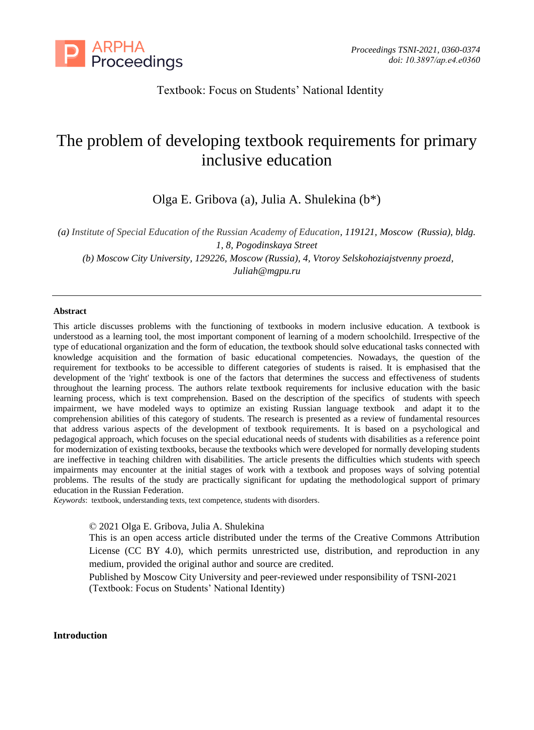

## Textbook: Focus on Students' National Identity

# The problem of developing textbook requirements for primary inclusive education

Olga E. Gribova (a), Julia A. Shulekina (b\*)

*(a) Institute of Special Education of the Russian Academy of Education, 119121, Moscow (Russia), bldg. 1, 8, Pogodinskaya Street* 

*(b) Moscow City University, 129226, Moscow (Russia), 4, Vtoroy Selskohoziajstvenny proezd, Juliah@mgpu.ru*

#### **Abstract**

This article discusses problems with the functioning of textbooks in modern inclusive education. A textbook is understood as a learning tool, the most important component of learning of a modern schoolchild. Irrespective of the type of educational organization and the form of education, the textbook should solve educational tasks connected with knowledge acquisition and the formation of basic educational competencies. Nowadays, the question of the requirement for textbooks to be accessible to different categories of students is raised. It is emphasised that the development of the 'right' textbook is one of the factors that determines the success and effectiveness of students throughout the learning process. The authors relate textbook requirements for inclusive education with the basic learning process, which is text comprehension. Based on the description of the specifics of students with speech impairment, we have modeled ways to optimize an existing Russian language textbook and adapt it to the comprehension abilities of this category of students. The research is presented as a review of fundamental resources that address various aspects of the development of textbook requirements. It is based on a psychological and pedagogical approach, which focuses on the special educational needs of students with disabilities as a reference point for modernization of existing textbooks, because the textbooks which were developed for normally developing students are ineffective in teaching children with disabilities. The article presents the difficulties which students with speech impairments may encounter at the initial stages of work with a textbook and proposes ways of solving potential problems. The results of the study are practically significant for updating the methodological support of primary education in the Russian Federation.

*Keywords*: textbook, understanding texts, text competence, students with disorders.

© 2021 Olga E. Gribova, Julia A. Shulekina

This is an open access article distributed under the terms of the Creative Commons Attribution License (CC BY 4.0), which permits unrestricted use, distribution, and reproduction in any medium, provided the original author and source are credited.

Published by Moscow City University and peer-reviewed under responsibility of TSNI-2021 (Textbook: Focus on Students' National Identity)

**Introduction**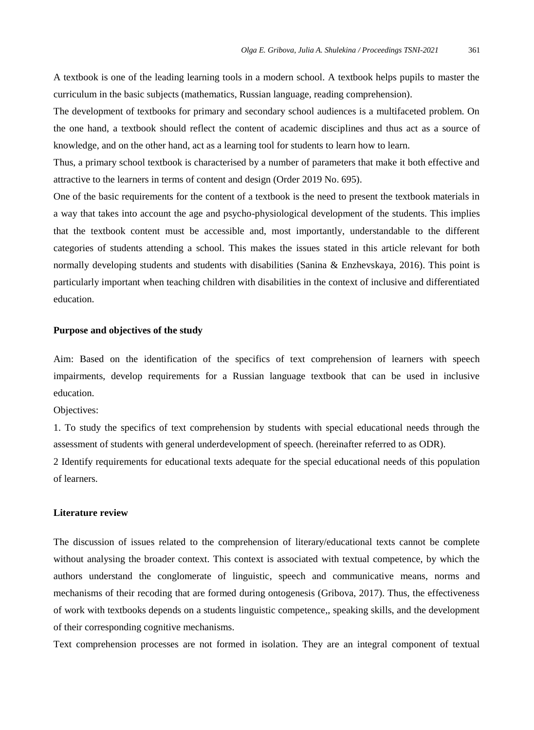A textbook is one of the leading learning tools in a modern school. A textbook helps pupils to master the curriculum in the basic subjects (mathematics, Russian language, reading comprehension).

The development of textbooks for primary and secondary school audiences is a multifaceted problem. On the one hand, a textbook should reflect the content of academic disciplines and thus act as a source of knowledge, and on the other hand, act as a learning tool for students to learn how to learn.

Thus, a primary school textbook is characterised by a number of parameters that make it both effective and attractive to the learners in terms of content and design (Order 2019 No. 695).

One of the basic requirements for the content of a textbook is the need to present the textbook materials in a way that takes into account the age and psycho-physiological development of the students. This implies that the textbook content must be accessible and, most importantly, understandable to the different categories of students attending a school. This makes the issues stated in this article relevant for both normally developing students and students with disabilities (Sanina & Enzhevskaya, 2016). This point is particularly important when teaching children with disabilities in the context of inclusive and differentiated education.

### **Purpose and objectives of the study**

Aim: Based on the identification of the specifics of text comprehension of learners with speech impairments, develop requirements for a Russian language textbook that can be used in inclusive education.

Objectives:

1. To study the specifics of text comprehension by students with special educational needs through the assessment of students with general underdevelopment of speech. (hereinafter referred to as ODR).

2 Identify requirements for educational texts adequate for the special educational needs of this population of learners.

#### **Literature review**

The discussion of issues related to the comprehension of literary/educational texts cannot be complete without analysing the broader context. This context is associated with textual competence, by which the authors understand the conglomerate of linguistic, speech and communicative means, norms and mechanisms of their recoding that are formed during ontogenesis (Gribova, 2017). Thus, the effectiveness of work with textbooks depends on a students linguistic competence,, speaking skills, and the development of their corresponding cognitive mechanisms.

Text comprehension processes are not formed in isolation. They are an integral component of textual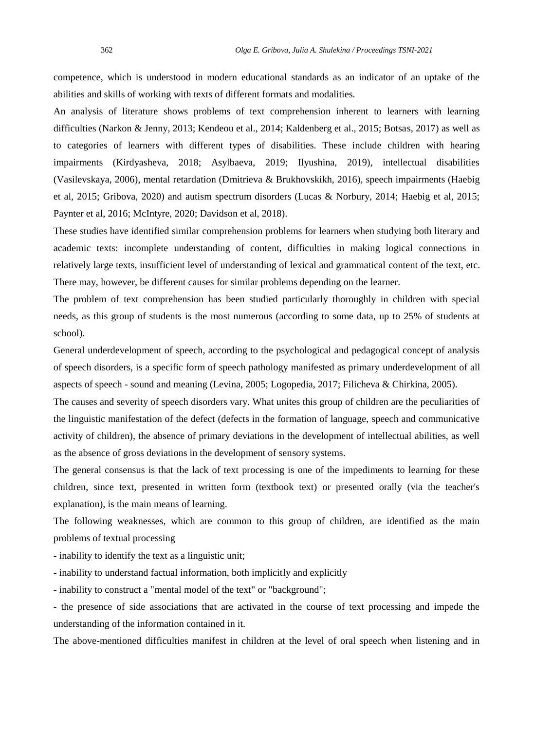competence, which is understood in modern educational standards as an indicator of an uptake of the abilities and skills of working with texts of different formats and modalities.

An analysis of literature shows problems of text comprehension inherent to learners with learning difficulties (Narkon & Jenny, 2013; Kendeou et al., 2014; Kaldenberg et al., 2015; Botsas, 2017) as well as to categories of learners with different types of disabilities. These include children with hearing impairments (Kirdyasheva, 2018; Asylbaeva, 2019; Ilyushina, 2019), intellectual disabilities (Vasilevskaya, 2006), mental retardation (Dmitrieva & Brukhovskikh, 2016), speech impairments (Haebig et al, 2015; Gribova, 2020) and autism spectrum disorders (Lucas & Norbury, 2014; Haebig et al, 2015; Paynter et al, 2016; McIntyre, 2020; Davidson et al, 2018).

These studies have identified similar comprehension problems for learners when studying both literary and academic texts: incomplete understanding of content, difficulties in making logical connections in relatively large texts, insufficient level of understanding of lexical and grammatical content of the text, etc. There may, however, be different causes for similar problems depending on the learner.

The problem of text comprehension has been studied particularly thoroughly in children with special needs, as this group of students is the most numerous (according to some data, up to 25% of students at school).

General underdevelopment of speech, according to the psychological and pedagogical concept of analysis of speech disorders, is a specific form of speech pathology manifested as primary underdevelopment of all aspects of speech - sound and meaning (Levina, 2005; Logopedia, 2017; Filicheva & Chirkina, 2005).

The causes and severity of speech disorders vary. What unites this group of children are the peculiarities of the linguistic manifestation of the defect (defects in the formation of language, speech and communicative activity of children), the absence of primary deviations in the development of intellectual abilities, as well as the absence of gross deviations in the development of sensory systems.

The general consensus is that the lack of text processing is one of the impediments to learning for these children, since text, presented in written form (textbook text) or presented orally (via the teacher's explanation), is the main means of learning.

The following weaknesses, which are common to this group of children, are identified as the main problems of textual processing

- inability to identify the text as a linguistic unit;

- inability to understand factual information, both implicitly and explicitly

- inability to construct a "mental model of the text" or "background";

- the presence of side associations that are activated in the course of text processing and impede the understanding of the information contained in it.

The above-mentioned difficulties manifest in children at the level of oral speech when listening and in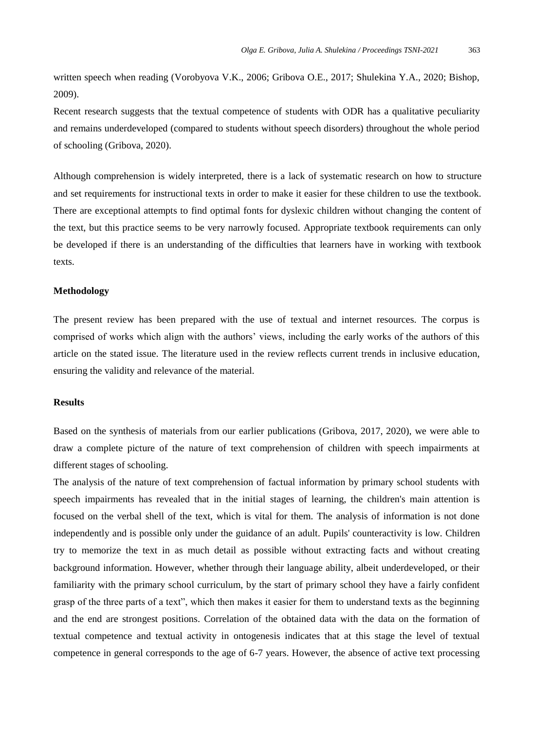written speech when reading (Vorobyova V.K., 2006; Gribova O.E., 2017; Shulekina Y.A., 2020; Bishop, 2009).

Recent research suggests that the textual competence of students with ODR has a qualitative peculiarity and remains underdeveloped (compared to students without speech disorders) throughout the whole period of schooling (Gribova, 2020).

Although comprehension is widely interpreted, there is a lack of systematic research on how to structure and set requirements for instructional texts in order to make it easier for these children to use the textbook. There are exceptional attempts to find optimal fonts for dyslexic children without changing the content of the text, but this practice seems to be very narrowly focused. Appropriate textbook requirements can only be developed if there is an understanding of the difficulties that learners have in working with textbook texts.

#### **Methodology**

The present review has been prepared with the use of textual and internet resources. The corpus is comprised of works which align with the authors' views, including the early works of the authors of this article on the stated issue. The literature used in the review reflects current trends in inclusive education, ensuring the validity and relevance of the material.

## **Results**

Based on the synthesis of materials from our earlier publications (Gribova, 2017, 2020), we were able to draw a complete picture of the nature of text comprehension of children with speech impairments at different stages of schooling.

The analysis of the nature of text comprehension of factual information by primary school students with speech impairments has revealed that in the initial stages of learning, the children's main attention is focused on the verbal shell of the text, which is vital for them. The analysis of information is not done independently and is possible only under the guidance of an adult. Pupils' counteractivity is low. Children try to memorize the text in as much detail as possible without extracting facts and without creating background information. However, whether through their language ability, albeit underdeveloped, or their familiarity with the primary school curriculum, by the start of primary school they have a fairly confident grasp of the three parts of a text", which then makes it easier for them to understand texts as the beginning and the end are strongest positions. Correlation of the obtained data with the data on the formation of textual competence and textual activity in ontogenesis indicates that at this stage the level of textual competence in general corresponds to the age of 6-7 years. However, the absence of active text processing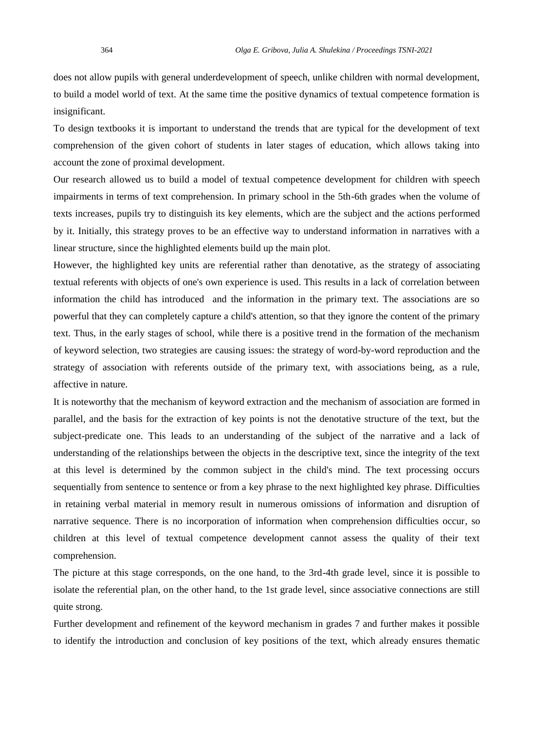does not allow pupils with general underdevelopment of speech, unlike children with normal development, to build a model world of text. At the same time the positive dynamics of textual competence formation is insignificant.

To design textbooks it is important to understand the trends that are typical for the development of text comprehension of the given cohort of students in later stages of education, which allows taking into account the zone of proximal development.

Our research allowed us to build a model of textual competence development for children with speech impairments in terms of text comprehension. In primary school in the 5th-6th grades when the volume of texts increases, pupils try to distinguish its key elements, which are the subject and the actions performed by it. Initially, this strategy proves to be an effective way to understand information in narratives with a linear structure, since the highlighted elements build up the main plot.

However, the highlighted key units are referential rather than denotative, as the strategy of associating textual referents with objects of one's own experience is used. This results in a lack of correlation between information the child has introduced and the information in the primary text. The associations are so powerful that they can completely capture a child's attention, so that they ignore the content of the primary text. Thus, in the early stages of school, while there is a positive trend in the formation of the mechanism of keyword selection, two strategies are causing issues: the strategy of word-by-word reproduction and the strategy of association with referents outside of the primary text, with associations being, as a rule, affective in nature.

It is noteworthy that the mechanism of keyword extraction and the mechanism of association are formed in parallel, and the basis for the extraction of key points is not the denotative structure of the text, but the subject-predicate one. This leads to an understanding of the subject of the narrative and a lack of understanding of the relationships between the objects in the descriptive text, since the integrity of the text at this level is determined by the common subject in the child's mind. The text processing occurs sequentially from sentence to sentence or from a key phrase to the next highlighted key phrase. Difficulties in retaining verbal material in memory result in numerous omissions of information and disruption of narrative sequence. There is no incorporation of information when comprehension difficulties occur, so children at this level of textual competence development cannot assess the quality of their text comprehension.

The picture at this stage corresponds, on the one hand, to the 3rd-4th grade level, since it is possible to isolate the referential plan, on the other hand, to the 1st grade level, since associative connections are still quite strong.

Further development and refinement of the keyword mechanism in grades 7 and further makes it possible to identify the introduction and conclusion of key positions of the text, which already ensures thematic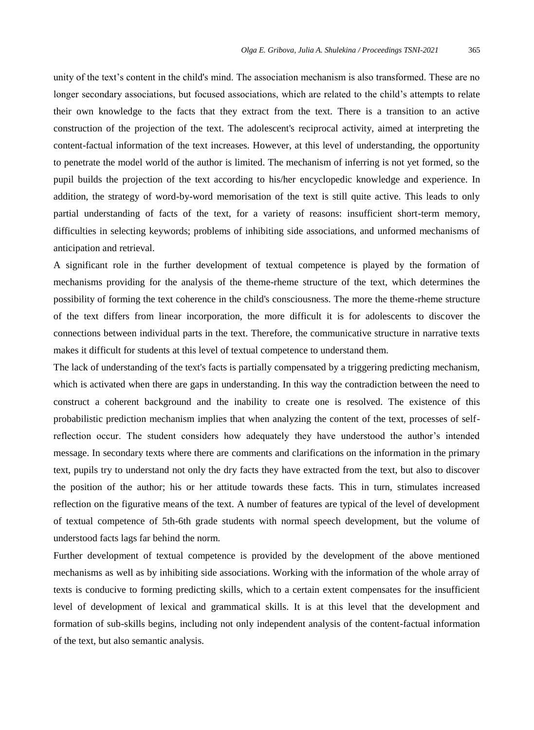unity of the text's content in the child's mind. The association mechanism is also transformed. These are no longer secondary associations, but focused associations, which are related to the child's attempts to relate their own knowledge to the facts that they extract from the text. There is a transition to an active construction of the projection of the text. The adolescent's reciprocal activity, aimed at interpreting the content-factual information of the text increases. However, at this level of understanding, the opportunity to penetrate the model world of the author is limited. The mechanism of inferring is not yet formed, so the pupil builds the projection of the text according to his/her encyclopedic knowledge and experience. In addition, the strategy of word-by-word memorisation of the text is still quite active. This leads to only partial understanding of facts of the text, for a variety of reasons: insufficient short-term memory, difficulties in selecting keywords; problems of inhibiting side associations, and unformed mechanisms of anticipation and retrieval.

A significant role in the further development of textual competence is played by the formation of mechanisms providing for the analysis of the theme-rheme structure of the text, which determines the possibility of forming the text coherence in the child's consciousness. The more the theme-rheme structure of the text differs from linear incorporation, the more difficult it is for adolescents to discover the connections between individual parts in the text. Therefore, the communicative structure in narrative texts makes it difficult for students at this level of textual competence to understand them.

The lack of understanding of the text's facts is partially compensated by a triggering predicting mechanism, which is activated when there are gaps in understanding. In this way the contradiction between the need to construct a coherent background and the inability to create one is resolved. The existence of this probabilistic prediction mechanism implies that when analyzing the content of the text, processes of selfreflection occur. The student considers how adequately they have understood the author's intended message. In secondary texts where there are comments and clarifications on the information in the primary text, pupils try to understand not only the dry facts they have extracted from the text, but also to discover the position of the author; his or her attitude towards these facts. This in turn, stimulates increased reflection on the figurative means of the text. A number of features are typical of the level of development of textual competence of 5th-6th grade students with normal speech development, but the volume of understood facts lags far behind the norm.

Further development of textual competence is provided by the development of the above mentioned mechanisms as well as by inhibiting side associations. Working with the information of the whole array of texts is conducive to forming predicting skills, which to a certain extent compensates for the insufficient level of development of lexical and grammatical skills. It is at this level that the development and formation of sub-skills begins, including not only independent analysis of the content-factual information of the text, but also semantic analysis.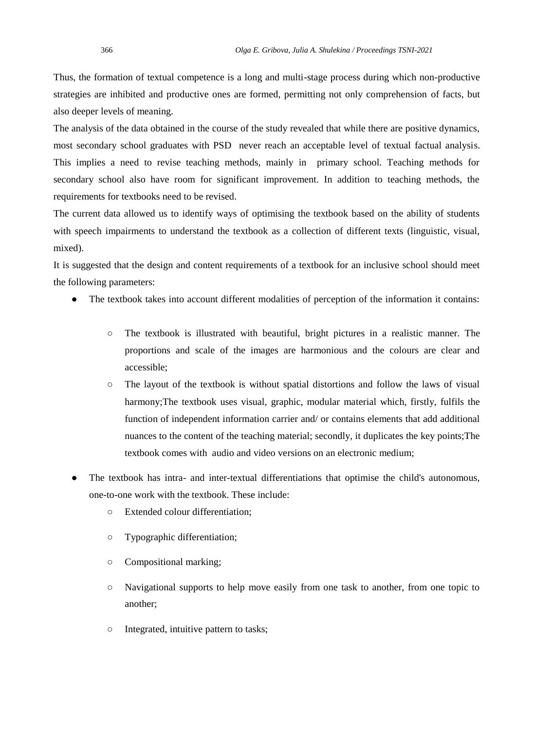Thus, the formation of textual competence is a long and multi-stage process during which non-productive strategies are inhibited and productive ones are formed, permitting not only comprehension of facts, but also deeper levels of meaning.

The analysis of the data obtained in the course of the study revealed that while there are positive dynamics, most secondary school graduates with PSD never reach an acceptable level of textual factual analysis. This implies a need to revise teaching methods, mainly in primary school. Teaching methods for secondary school also have room for significant improvement. In addition to teaching methods, the requirements for textbooks need to be revised.

The current data allowed us to identify ways of optimising the textbook based on the ability of students with speech impairments to understand the textbook as a collection of different texts (linguistic, visual, mixed).

It is suggested that the design and content requirements of a textbook for an inclusive school should meet the following parameters:

- The textbook takes into account different modalities of perception of the information it contains:
	- The textbook is illustrated with beautiful, bright pictures in a realistic manner. The proportions and scale of the images are harmonious and the colours are clear and accessible;
	- The layout of the textbook is without spatial distortions and follow the laws of visual harmony;The textbook uses visual, graphic, modular material which, firstly, fulfils the function of independent information carrier and/ or contains elements that add additional nuances to the content of the teaching material; secondly, it duplicates the key points;The textbook comes with audio and video versions on an electronic medium;
- The textbook has intra- and inter-textual differentiations that optimise the child's autonomous, one-to-one work with the textbook. These include:
	- Extended colour differentiation;
	- Typographic differentiation;
	- Compositional marking;
	- Navigational supports to help move easily from one task to another, from one topic to another;
	- Integrated, intuitive pattern to tasks;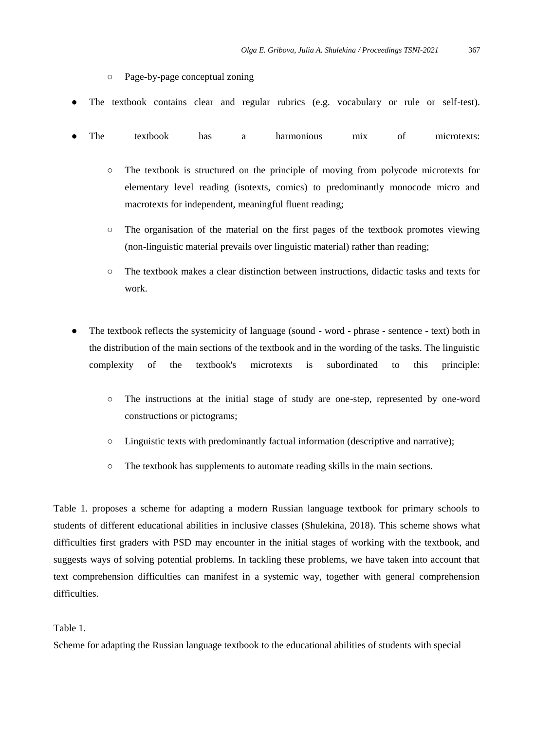- Page-by-page conceptual zoning
- The textbook contains clear and regular rubrics (e.g. vocabulary or rule or self-test).
- The textbook has a harmonious mix of microtexts:
	- The textbook is structured on the principle of moving from polycode microtexts for elementary level reading (isotexts, comics) to predominantly monocode micro and macrotexts for independent, meaningful fluent reading;
	- The organisation of the material on the first pages of the textbook promotes viewing (non-linguistic material prevails over linguistic material) rather than reading;
	- The textbook makes a clear distinction between instructions, didactic tasks and texts for work.
- The textbook reflects the systemicity of language (sound word phrase sentence text) both in the distribution of the main sections of the textbook and in the wording of the tasks. The linguistic complexity of the textbook's microtexts is subordinated to this principle:
	- The instructions at the initial stage of study are one-step, represented by one-word constructions or pictograms;
	- Linguistic texts with predominantly factual information (descriptive and narrative);
	- The textbook has supplements to automate reading skills in the main sections.

Table 1. proposes a scheme for adapting a modern Russian language textbook for primary schools to students of different educational abilities in inclusive classes (Shulekina, 2018). This scheme shows what difficulties first graders with PSD may encounter in the initial stages of working with the textbook, and suggests ways of solving potential problems. In tackling these problems, we have taken into account that text comprehension difficulties can manifest in a systemic way, together with general comprehension difficulties.

## Table 1.

Scheme for adapting the Russian language textbook to the educational abilities of students with special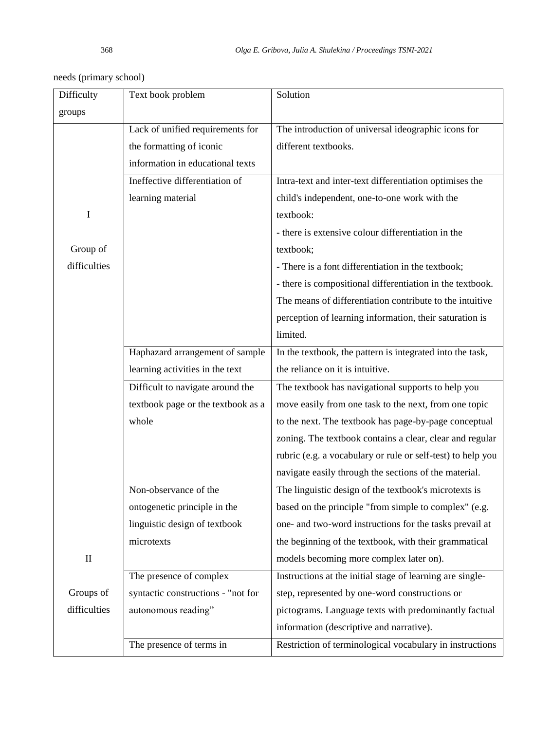| ×<br>ł<br>$\sim$ | I<br>v<br>٦<br>×<br>۰.<br>$\sim$<br>$\sim$ |  |
|------------------|--------------------------------------------|--|
|                  |                                            |  |

needs (primary school)

| Difficulty   | Text book problem                  | Solution                                                    |
|--------------|------------------------------------|-------------------------------------------------------------|
| groups       |                                    |                                                             |
|              | Lack of unified requirements for   | The introduction of universal ideographic icons for         |
|              | the formatting of iconic           | different textbooks.                                        |
|              | information in educational texts   |                                                             |
|              | Ineffective differentiation of     | Intra-text and inter-text differentiation optimises the     |
|              | learning material                  | child's independent, one-to-one work with the               |
| I            |                                    | textbook:                                                   |
|              |                                    | - there is extensive colour differentiation in the          |
| Group of     |                                    | textbook;                                                   |
| difficulties |                                    | - There is a font differentiation in the textbook;          |
|              |                                    | - there is compositional differentiation in the textbook.   |
|              |                                    | The means of differentiation contribute to the intuitive    |
|              |                                    | perception of learning information, their saturation is     |
|              |                                    | limited.                                                    |
|              | Haphazard arrangement of sample    | In the textbook, the pattern is integrated into the task,   |
|              | learning activities in the text    | the reliance on it is intuitive.                            |
|              | Difficult to navigate around the   | The textbook has navigational supports to help you          |
|              | textbook page or the textbook as a | move easily from one task to the next, from one topic       |
|              | whole                              | to the next. The textbook has page-by-page conceptual       |
|              |                                    | zoning. The textbook contains a clear, clear and regular    |
|              |                                    | rubric (e.g. a vocabulary or rule or self-test) to help you |
|              |                                    | navigate easily through the sections of the material.       |
|              | Non-observance of the              | The linguistic design of the textbook's microtexts is       |
|              | ontogenetic principle in the       | based on the principle "from simple to complex" (e.g.       |
|              | linguistic design of textbook      | one- and two-word instructions for the tasks prevail at     |
|              | microtexts                         | the beginning of the textbook, with their grammatical       |
| $\mathbf{I}$ |                                    | models becoming more complex later on).                     |
|              | The presence of complex            | Instructions at the initial stage of learning are single-   |
| Groups of    | syntactic constructions - "not for | step, represented by one-word constructions or              |
| difficulties | autonomous reading"                | pictograms. Language texts with predominantly factual       |
|              |                                    | information (descriptive and narrative).                    |
|              | The presence of terms in           | Restriction of terminological vocabulary in instructions    |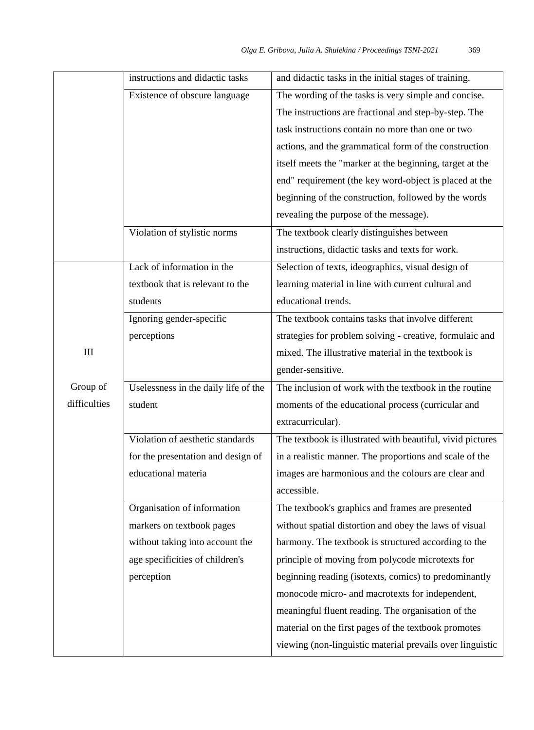|              | instructions and didactic tasks      | and didactic tasks in the initial stages of training.      |
|--------------|--------------------------------------|------------------------------------------------------------|
|              | Existence of obscure language        | The wording of the tasks is very simple and concise.       |
|              |                                      | The instructions are fractional and step-by-step. The      |
|              |                                      | task instructions contain no more than one or two          |
|              |                                      | actions, and the grammatical form of the construction      |
|              |                                      | itself meets the "marker at the beginning, target at the   |
|              |                                      | end" requirement (the key word-object is placed at the     |
|              |                                      | beginning of the construction, followed by the words       |
|              |                                      | revealing the purpose of the message).                     |
|              | Violation of stylistic norms         | The textbook clearly distinguishes between                 |
|              |                                      | instructions, didactic tasks and texts for work.           |
|              | Lack of information in the           | Selection of texts, ideographics, visual design of         |
|              | textbook that is relevant to the     | learning material in line with current cultural and        |
|              | students                             | educational trends.                                        |
|              | Ignoring gender-specific             | The textbook contains tasks that involve different         |
|              | perceptions                          | strategies for problem solving - creative, formulaic and   |
| III          |                                      | mixed. The illustrative material in the textbook is        |
|              |                                      | gender-sensitive.                                          |
| Group of     | Uselessness in the daily life of the | The inclusion of work with the textbook in the routine     |
| difficulties | student                              | moments of the educational process (curricular and         |
|              |                                      | extracurricular).                                          |
|              | Violation of aesthetic standards     | The textbook is illustrated with beautiful, vivid pictures |
|              | for the presentation and design of   | in a realistic manner. The proportions and scale of the    |
|              | educational materia                  | images are harmonious and the colours are clear and        |
|              |                                      | accessible.                                                |
|              | Organisation of information          | The textbook's graphics and frames are presented           |
|              | markers on textbook pages            | without spatial distortion and obey the laws of visual     |
|              | without taking into account the      | harmony. The textbook is structured according to the       |
|              | age specificities of children's      | principle of moving from polycode microtexts for           |
|              | perception                           | beginning reading (isotexts, comics) to predominantly      |
|              |                                      | monocode micro- and macrotexts for independent,            |
|              |                                      | meaningful fluent reading. The organisation of the         |
|              |                                      | material on the first pages of the textbook promotes       |
|              |                                      | viewing (non-linguistic material prevails over linguistic  |
|              |                                      |                                                            |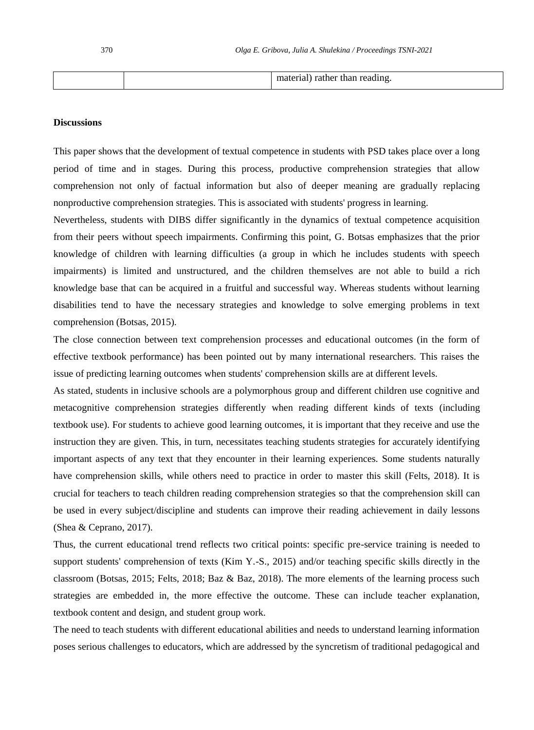|--|

## **Discussions**

This paper shows that the development of textual competence in students with PSD takes place over a long period of time and in stages. During this process, productive comprehension strategies that allow comprehension not only of factual information but also of deeper meaning are gradually replacing nonproductive comprehension strategies. This is associated with students' progress in learning.

Nevertheless, students with DIBS differ significantly in the dynamics of textual competence acquisition from their peers without speech impairments. Confirming this point, G. Botsas emphasizes that the prior knowledge of children with learning difficulties (a group in which he includes students with speech impairments) is limited and unstructured, and the children themselves are not able to build a rich knowledge base that can be acquired in a fruitful and successful way. Whereas students without learning disabilities tend to have the necessary strategies and knowledge to solve emerging problems in text comprehension (Botsas, 2015).

The close connection between text comprehension processes and educational outcomes (in the form of effective textbook performance) has been pointed out by many international researchers. This raises the issue of predicting learning outcomes when students' comprehension skills are at different levels.

As stated, students in inclusive schools are a polymorphous group and different children use cognitive and metacognitive comprehension strategies differently when reading different kinds of texts (including textbook use). For students to achieve good learning outcomes, it is important that they receive and use the instruction they are given. This, in turn, necessitates teaching students strategies for accurately identifying important aspects of any text that they encounter in their learning experiences. Some students naturally have comprehension skills, while others need to practice in order to master this skill (Felts, 2018). It is crucial for teachers to teach children reading comprehension strategies so that the comprehension skill can be used in every subject/discipline and students can improve their reading achievement in daily lessons (Shea & Ceprano, 2017).

Thus, the current educational trend reflects two critical points: specific pre-service training is needed to support students' comprehension of texts (Kim Y.-S., 2015) and/or teaching specific skills directly in the classroom (Botsas, 2015; Felts, 2018; Baz & Baz, 2018). The more elements of the learning process such strategies are embedded in, the more effective the outcome. These can include teacher explanation, textbook content and design, and student group work.

The need to teach students with different educational abilities and needs to understand learning information poses serious challenges to educators, which are addressed by the syncretism of traditional pedagogical and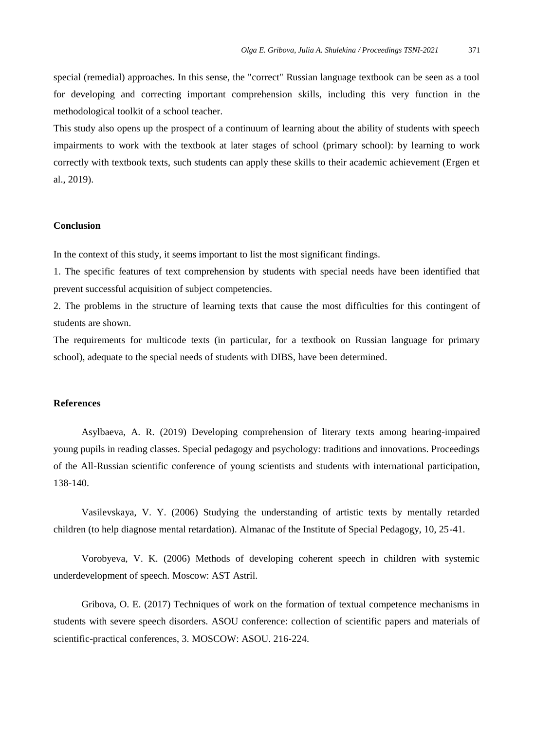special (remedial) approaches. In this sense, the "correct" Russian language textbook can be seen as a tool for developing and correcting important comprehension skills, including this very function in the methodological toolkit of a school teacher.

This study also opens up the prospect of a continuum of learning about the ability of students with speech impairments to work with the textbook at later stages of school (primary school): by learning to work correctly with textbook texts, such students can apply these skills to their academic achievement (Ergen et al., 2019).

#### **Conclusion**

In the context of this study, it seems important to list the most significant findings.

1. The specific features of text comprehension by students with special needs have been identified that prevent successful acquisition of subject competencies.

2. The problems in the structure of learning texts that cause the most difficulties for this contingent of students are shown.

The requirements for multicode texts (in particular, for a textbook on Russian language for primary school), adequate to the special needs of students with DIBS, have been determined.

### **References**

Asylbaeva, A. R. (2019) Developing comprehension of literary texts among hearing-impaired young pupils in reading classes. Special pedagogy and psychology: traditions and innovations. Proceedings of the All-Russian scientific conference of young scientists and students with international participation, 138-140.

Vasilevskaya, V. Y. (2006) Studying the understanding of artistic texts by mentally retarded children (to help diagnose mental retardation). Almanac of the Institute of Special Pedagogy, 10, 25-41.

Vorobyeva, V. K. (2006) Methods of developing coherent speech in children with systemic underdevelopment of speech. Moscow: AST Astril.

Gribova, O. E. (2017) Techniques of work on the formation of textual competence mechanisms in students with severe speech disorders. ASOU conference: collection of scientific papers and materials of scientific-practical conferences, 3. MOSCOW: ASOU. 216-224.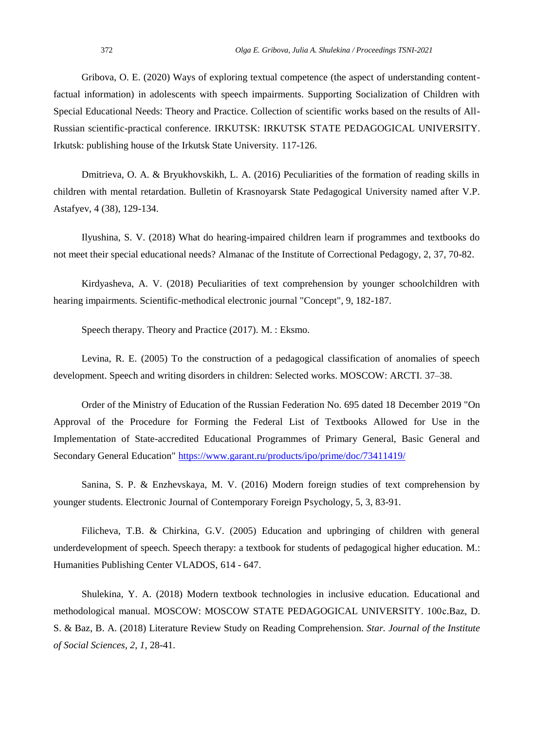Gribova, O. E. (2020) Ways of exploring textual competence (the aspect of understanding contentfactual information) in adolescents with speech impairments. Supporting Socialization of Children with Special Educational Needs: Theory and Practice. Collection of scientific works based on the results of All-Russian scientific-practical conference. IRKUTSK: IRKUTSK STATE PEDAGOGICAL UNIVERSITY. Irkutsk: publishing house of the Irkutsk State University. 117-126.

Dmitrieva, O. A. & Bryukhovskikh, L. A. (2016) Peculiarities of the formation of reading skills in children with mental retardation. Bulletin of Krasnoyarsk State Pedagogical University named after V.P. Astafyev, 4 (38), 129-134.

Ilyushina, S. V. (2018) What do hearing-impaired children learn if programmes and textbooks do not meet their special educational needs? Almanac of the Institute of Correctional Pedagogy, 2, 37, 70-82.

Kirdyasheva, A. V. (2018) Peculiarities of text comprehension by younger schoolchildren with hearing impairments. Scientific-methodical electronic journal "Concept", 9, 182-187.

Speech therapy. Theory and Practice (2017). М. : Eksmo.

Levina, R. E. (2005) To the construction of a pedagogical classification of anomalies of speech development. Speech and writing disorders in children: Selected works. MOSCOW: ARCTI. 37–38.

Order of the Ministry of Education of the Russian Federation No. 695 dated 18 December 2019 "On Approval of the Procedure for Forming the Federal List of Textbooks Allowed for Use in the Implementation of State-accredited Educational Programmes of Primary General, Basic General and Secondary General Education"<https://www.garant.ru/products/ipo/prime/doc/73411419/>

Sanina, S. P. & Enzhevskaya, M. V. (2016) Modern foreign studies of text comprehension by younger students. Electronic Journal of Contemporary Foreign Psychology, 5, 3, 83-91.

Filicheva, T.B. & Chirkina, G.V. (2005) Education and upbringing of children with general underdevelopment of speech. Speech therapy: a textbook for students of pedagogical higher education. M.: Humanities Publishing Center VLADOS, 614 - 647.

Shulekina, Y. A. (2018) Modern textbook technologies in inclusive education. Educational and methodological manual. MOSCOW: MOSCOW STATE PEDAGOGICAL UNIVERSITY. 100с.Baz, D. S. & Baz, B. A. (2018) Literature Review Study on Reading Comprehension. *Star. Journal of the Institute of Social Sciences, 2, 1,* 28-41.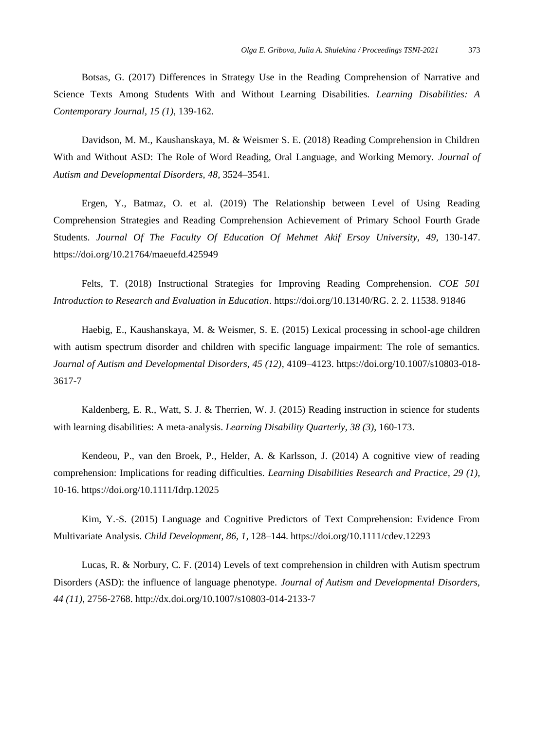Botsas, G. (2017) Differences in Strategy Use in the Reading Comprehension of Narrative and Science Texts Among Students With and Without Learning Disabilities. *Learning Disabilities: A Contemporary Journal, 15 (1)*, 139-162.

Davidson, M. M., Kaushanskaya, M. & Weismer S. E. (2018) Reading Comprehension in Children With and Without ASD: The Role of Word Reading, Oral Language, and Working Memory. *Journal of Autism and Developmental Disorders, 48,* 3524–3541.

Ergen, Y., Batmaz, O. et al. (2019) The Relationship between Level of Using Reading Comprehension Strategies and Reading Comprehension Achievement of Primary School Fourth Grade Students. *Journal Of The Faculty Of Education Of Mehmet Akif Ersoy University, 49*, 130-147. https://doi.org/10.21764/maeuefd.425949

Felts, T. (2018) Instructional Strategies for Improving Reading Comprehension. *COE 501 Introduction to Research and Evaluation in Education*. https://doi.org/10.13140/RG. 2. 2. 11538. 91846

Haebig, E., Kaushanskaya, M. & Weismer, S. E. (2015) Lexical processing in school-age children with autism spectrum disorder and children with specific language impairment: The role of semantics. *Journal of Autism and Developmental Disorders, 45 (12)*, 4109–4123. https://doi.org/10.1007/s10803-018- 3617-7

Kaldenberg, E. R., Watt, S. J. & Therrien, W. J. (2015) Reading instruction in science for students with learning disabilities: A meta-analysis. *Learning Disability Quarterly, 38 (3)*, 160-173.

Kendeou, P., van den Broek, P., Helder, A. & Karlsson, J. (2014) A cognitive view of reading comprehension: Implications for reading difficulties. *Learning Disabilities Research and Practice, 29 (1),*  10-16. https://doi.org/10.1111/Idrp.12025

Kim, Y.-S. (2015) Language and Cognitive Predictors of Text Comprehension: Evidence From Multivariate Analysis. *Child Development, 86, 1*, 128–144. https://doi.org/10.1111/cdev.12293

Lucas, R. & Norbury, C. F. (2014) Levels of text comprehension in children with Autism spectrum Disorders (ASD): the influence of language phenotype. *Journal of Autism and Developmental Disorders, 44 (11)*, 2756-2768. http://dx.doi.org/10.1007/s10803-014-2133-7